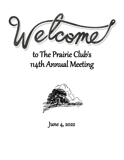

# to The Prairie Club's 114th Annual Meeting



June 4, 2022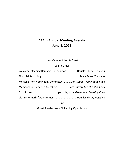# **114th Annual Meeting Agenda June 4, 2022**

# New Member Meet & Greet

#### Call to Order

| Welcome, Opening Remarks, Recognitions  Douglas Elrick, President |  |
|-------------------------------------------------------------------|--|
|                                                                   |  |
| Message from Nominating CommitteeDan Gapen, Nominating Chair      |  |
| Memorial for Departed Members  Barb Burton, Membership Chair      |  |
|                                                                   |  |
|                                                                   |  |
|                                                                   |  |

Lunch

Guest Speaker from Chikaming Open Lands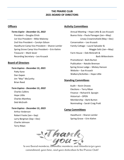# **THE PRAIRIE CLUB 2021 BOARD OF DIRECTORS**

# **Officers**

*Terms Expire - December 31, 2022* President – Douglas Elrick 1st Vice President – Mike Maloney 2nd Vice President – Carolyn Edison Hazelhurst Camp Vice President – Sharon Lemler Spring Grove Camp Vice President – Erin Kiehm Treasurer – Mark Sever Recording Secretary – Leo Krusack

### **Board of Directors**

# *Term Expires - December 31, 2021* Patty Kane Dan Gapen Jim "Mac" McCarthy Brian Reed

*Term Expires - December 31, 2022* Charles Calkins Hope Little

Charles Manthey Deb McGrath

#### *Term Expires - December 31, 2023*

Arthur Anderson Robert Foote (Jan—Sep) Larry Bergman (Sep—Dec) Charlie Johnson Terry Riban

#### **Activity Committees**

Annual Meeting – Hope Little & Leo Krusack Buena Vista – Paula Flanagan (Jan—May) Linsey Crowninshield (May—Dec) Conservation – Leo Krusack Family Cottage – Laurel Salvador & Maggie Soliz (Jan—May) Farm House – Deb McGrath & Barb Wittersheim Promotional – Barb Burton Publication – Natalie Brennan Spring Grove Lodge – Mickey Hanson Website – Sue Krusack Walkers/Activities – Hope Little

#### **Standing Committees**

Audit – Kevin Oravec Elections – Terry Riban Finance – Richard B. Spurgin Historical – OPEN Membership – Barb Burton Nominating – Sarah Craig Pratt

#### **Camp Committees**

Hazelhurst – Sharon Lemler Spring Grove – Erin Kiehm



commitment, your time, and your dedication to the Prairie Club!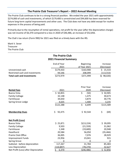#### **The Prairie Club Treasurer's Report – 2022 Annual Meeting**

The Prairie Club continues to be in a strong financial position. We ended the year 2021 with approximately \$274,000 of cash and investments, of which \$179,400 is unrestricted and \$94,600 has been reserved for future long-term capital improvements and other uses. The Club does not have any debt except for routine expenses in the process of being paid.

Primarily due to the resumption of rental operations, net profit for the year (after the depreciation charge) was net income of \$6,370 compared to a loss in 2020 of \$46,486, an increase of \$52,856.

The Club's tax return (Form 990) for 2021 was filed on a timely basis with the IRS.

Mark V. Sever Treasurer The Prairie Club

| <b>The Prairie Club</b><br><b>2021 Financial Summary</b> |              |                   |               |  |
|----------------------------------------------------------|--------------|-------------------|---------------|--|
|                                                          | End of Year  | <b>Beginning</b>  | Increase      |  |
|                                                          | 2021         | of Year 2021      | (Decrease)    |  |
| Unrestricted cash                                        | \$179,433    | \$163,900         | \$15,533      |  |
| Restricted cash and investments                          | 94,546       | 208,099           | (113, 553)    |  |
| <b>Total cash and investments</b>                        | \$273,979    | \$371,999         | $$$ ( 98,020) |  |
|                                                          |              | <b>Prior Year</b> | Increase      |  |
| <b>Rental Fees</b>                                       | 2021         | 2020              | (Decrease)    |  |
| <b>Buena Vista</b>                                       | \$50,855     | \$<br>(50)        | \$50,905      |  |
| <b>Family Cottage</b>                                    | 32,148       | 1,475             | 30,673        |  |
| Farmhouse                                                | 34,650       | 3,874             | 30,776        |  |
| Spring Grove Lodge                                       | 4,635        | 1,400             | 3,235         |  |
|                                                          | \$122,288    | \$<br>6,699       | \$115,589     |  |
| <b>Membership Dues</b>                                   | Ś.<br>92,475 | \$92,544          | \$<br>(69)    |  |
| <b>Net Profit (Loss)</b>                                 |              |                   |               |  |
| <b>Buena Vista</b>                                       | \$25,871     | \$(13, 224)       | \$39,095      |  |
| <b>Family Cottage</b>                                    | 9,503        | (21, 559)         | 31,062        |  |
| Farmhouse                                                | 1,348        | (19,600)          | 20,948        |  |
| Hazelhurst                                               | 20,584       | 56,050            | (35, 466)     |  |
| Prairie Club Office                                      | 36,005       | 7,076             | 28,929        |  |
| <b>Improvement Funds</b>                                 | 23,956       | 23,041            | 915           |  |
| <b>Spring Grove</b>                                      | 0            | 0                 | $\mathbf 0$   |  |
| Subtotal - before depreciation                           | 117,267      | 31,784            | 85,483        |  |
| Less Depreciation                                        | (110, 897)   | (78, 270)         | 32,627        |  |
| Net Profit (Loss) after Depreciation                     | \$.<br>6,370 | \$(46, 486)       | \$ 52,856     |  |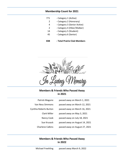#### **Membership Count for 2021**

- 771 Category 1 (Active)
	- 2 Category 2 (Honorary)
	- 4 Category 3 (Senior Active)
	- 2 Category 4 (Hiker/Walker)
- 14 Category 5 (Student)
- 45 Category 6 (Senior)
- **838 - Total Prairie Club Members**



**Members & Friends Who Passed Away in 2021**

| Patrick Maguire         | passed away on March 1, 2021   |
|-------------------------|--------------------------------|
| <b>Van Ness Simmons</b> | passed away on March 12, 2021  |
| Cynthia Roberts Burton  | passed away on March 16, 2021  |
| Clark Miller            | passed away on May 3, 2021     |
| Nancy Cook              | passed away on July 18, 2021   |
| Sue Krusack             | passed away on August 14, 2021 |
| <b>Charlene Calkins</b> | passed away on August 27, 2021 |

# **Members & Friends Who Passed Away in 2022**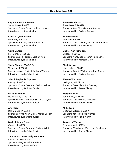#### **New Members 2021**

**Ray Braden & Kim Jensen** Spring Grove, IL 60081 Sponsors: Connie Davies, Mildred Hanson Interviewed by: Paula Kiehm

**Bruce & Lynn Buschick** McHenry, IL 60050 Sponsors: Jeff Fink, Mildred Hanson Interviewed by: Paula Kiehm

**Claire Einhorn** East Dundee, IL 60118 Sponsors: Jacia Pearson, Barb Burton Interviewed by: Paula Kiehm

**Sheila Shearon "CeCe" Ely** Wilmette, IL 60091 Sponsors: Susan Enright, Barbara Warren Interviewed by: M.P. McKenzie

**John & Stephanie Epperson** Chicago, IL 60618 Sponsors: Connie Cranford, Barbara White Interviewed by: M.P. McKenzie

**Martha Feldman** New Buffalo, MI 49117 Sponsors: James Chandler, Susan M. Taylor Interviewed by: Barbara Burton

**Ann Flood** Des Moines, IA 50312 Sponsors: Wyatt Allen Miller, Patrick Gilligan Interviewed by: Barbara Burton

**David & Jennie Freda** Chicago, IL 60618 Sponsors: Connie Cranford, Barbara White Interviewed by: M.P. McKenzie

**Thomas Hackley & Emily Bettencourt** Kalamazoo, MI 49009 Sponsors: Gary Wood, Tim Wixted Interviewed by: Frances Kirby

**Steven Henderson** Three Oaks, MI 49128 Sponsors: Ann Cilla, Mary Ann Aubrey Interviewed by: Barbara Burton

**Hilary McGrath** Wheaton, IL 60187 Sponsors: Deb McGrath, Barbara Wittersheim Interviewed by: Frances Kirby

**Eleanor Ann Nicholson** Chicago, IL 60615 Sponsors: Nancy Baum, Sarah Nadelhoffer Interviewed by: Marcelle Gray

**Cindi Sartain** Libertyville, IL 60048 Sponsors: Connie Wallingford, Rob Burton Interviewed by: Barbara Burton

**Thomas Wanderer** Lexington, MA 02420 Sponsors: Steve Clark, Jim Downey Interviewed by: Terese Clancy

**Marcia Warter** South Bend, IN 46614 Sponsors: Gina Meyers, Yifei Jaski Interviewed by: Terese Clancy

**Millie Weir** Elk Grove Village, IL 60007 Sponsors: Jeff Fink, Rose Werner Interviewed by: Paula Kiehm

**Agnieszka Wiosna** Schaumburg, IL 60173 Sponsors: Magdalena Warzecha, Ewa Pasek Interviewed by: Terese Clancy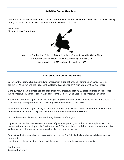#### **Activities Committee Report**

Due to the Covid-19 Pandemic the Activities Committee had limited activities last year. We had one kayaking outing on the Galien River. We plan to start more activities as for 2022.

Hope Little Chair, Activities Committee



Join us on Sunday, June 5th, at 1:00 pm for a kayak/canoe trip on the Galien River. Rentals are available from Third Coast Paddling (269)468-9399 Single kayaks cost \$25 and double kayaks are \$30.

#### **Conservation Committee Report**

Each year the Prairie Club supports two conservation organizations: Chikaming Open Lands (COL) in southwest Michigan and the Nippersink Watershed Association (NWA) in McHenry County, Illinois.

During 2021, Chikaming Open Lands added three new preserves totaling 83 acres to its repertoire: Sugar Wood Preserve (40 acres), Harbert Woods Preserve (16 acres), and Castle Keep Preserve (27 acres).

Altogether, Chikaming Open Lands now manages 20 preserves and land easements totaling 2,000 acres. That is an amazing accomplishment for a small organization with limited resources.

In addition, Chikaming Open Lands, in a program titled Mighty Acorns, conducts environmental education and field studies for 3rd - 5th grade children from three local elementary schools.

COL land stewards planted 3,000 trees during the course of the year.

Nippersink Watershed Association continues to "preserve, protect, and enhance the irreplaceable natural resources found in the Nippersinik Creek watershed". This work is accomplished via environmental studies and numerous volunteer work sessions scheduled throughout the year.

Support by the Prairie Club as an organization and by the Club's individual members establishes us as an important

contributor to the present and future well-being of the communities where we are active.

Leo Krusack Conservation Chair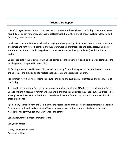#### **Buena Vista Report**

Lots of changes to Buena Vista in the past year as renovations have allowed the facility to be rented yearround! Families can now enjoy all seasons at Hazelhurst! Many thanks to all those involved in leading and facilitating these renovations.

Work in October and February included: a purging and reorganizing of kitchens, closets, outdoor cushions, and lamps and furniture. All blankets and rugs were washed. Mattress pads and pillowcases, and pillows were replaced. Re-purposed vintage beach photos were hung and lamps replaced (thank you Deb and Barb).

Current projects include; power washing and painting of the screened-in porch and exterior painting of the building (being completed in May 2022)

As funding was approved in May 2022, we will be moving forward with plans to replace the couch in the sitting area of the old side and to replace seating areas on the screened-in porch.

For summer: new glassware, sheets sets, outdoor pillows and cushions will brighten up the beachy feel of the facility.

As noted in other reports: facility chairs are now enforcing a minimum \$100 fee if renters leave the facility unkept, making it necessary for DeAnna to spend extra time cleaning after they check out. This practice has already been utilized at BV – thank you to Natalie and DeAnna for their support and communication of these expectations.

Again, many thanks to Vern and DeeAnna for the spearheading of contracts and facility improvements and for all the work they do to keep Buena Vista spotless and welcoming to renters. And appreciation to Natalie for her communication, organization, and efforts.

Looking forward to a great summer season!

See you at camp!

Linsey Crowninshield-Ryan Buena Vista Chair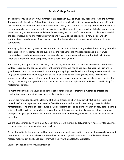#### **Family Cottage Report**

The Family Cottage had a very full summer rental season in 2021 and was fully booked through the summer. Thanks to major help from Deb and Barb, the screened in porches in both units received major facelifts with new furniture, cushions and area rugs. My husband, Omar, and I painted the existing orphan wicker that was red and green to match blue and with the cushions that Deb bought, it has a new life. Deb also found a used set of matching wicker love seat and chairs for Windsong, so the transformation was complete. I updated all the bedspreads, pillows and mattress covers linens in 2021, so the bedding has a new look as well. In addition, I purchased memory foam mattress pads for the twin beds in the loft to make them a bit more comfortable.

The major job overseen by Vern in 2021 was the construction of the retaining wall on the Windsong side. This prevented structural damage to the building, as the footing for the Windsong screened in porch was completely exposed due to severe erosion. Vern also had to buy a new refrigerator for Ravinia in August when the current one failed completely. Thanks Vern for all you do!!!

Since funding was approved in May 2022, I am moving forward with the plans for both sides of the Family Cottage to replace the couch and chairs in the sitting areas. We had to add boards under the cushions to give the couch and chairs more stability as the support springs have failed. It was brought to our attention in August by a renter who could not get out of the couch since he was sinking too low due to the failed supports. He actually went out and bought some boards to place under the cushions. I assessed the situation on my fall work day and agreed that the couch and chairs are due replacement and have started looking for replacement options.

As mentioned in the Farmhouse and Buena Vista reports, we had to institute a method to enforce the checkout out procedures that have been in place for two years.

Renters are reminded about the cleaning of the Family Cottage when they leave by listing the "check out procedures" in the paperwork they receive from Natalie and with signs that are clearly posted in all the rental facilities. The check out procedures include : stripping beds and placing linens in laundry bags , clearing leftover food items from the refrigerator, washing the dishes or starting the dishwasher before they leave, emptying the garbage and recycling into cans near the barn and moving any furniture back that was moved by renters.

We are now enforcing a minimum \$100 fee if renters leave the facility dirty, making it necessary for DeeAnna to spend extra time cleaning after they check out.

As mentioned in the Farmhouse and Buena Vista reports, much appreciation and many thanks go to Vern and DeeAnna for the hard work they do to keep the Family Cottage well maintained. Natalie keeps the rental records meticulously and keeps us all informed weekly with updates, thanks Natalie!

Laurel Salvador, Family Cottage Rental Chair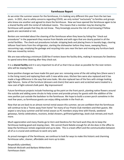#### **Farmhouse Report**

As we enter the summer season for the farmhouse, it is looking very different this year from the last two years. In 2021, due to safety concerns regarding COVID, we only rented "exclusively" to families and groups who knew one another and agreed to share the farmhouse. Now we have opened the farmhouse again to be a shared facility with the rental of individual rooms. This means that a member may be sharing the farmhouse with people that they do not know. They knowingly assume the risk of not knowing if fellow guests are vaccinated or not.

Renters are reminded about the cleaning of the farmhouse when they leave by listing the "check out procedures" in the paperwork they receive from Natalie and with signs that are clearly posted in all the rental facilities. The check-out procedures include: stripping beds and placing linens in laundry bags, clearing leftover food items from the refrigerator, starting the dishwasher before they leave, sweeping floors, vacuuming rugs, emptying the garbage and recycling into cans near the barn and moving any furniture back that was moved by renters.

We are now enforcing a minimum \$100 fee if renters leave the facility dirty, making it necessary for DeeAnna to spend extra time cleaning after they check out.

It is a **shared facility** and it is very important to all of us that it be as clean as possible for the next renters who will be staying there.

Some positive changes we have made this past year are: removing some of the old ceiling fans (there were 5 in the living room) and replacing them with 3 new white ones. Kitchen fans were also replaced and it has made a huge difference in the way that area looks. We also replaced two of the fans with vintage looking light fixtures. Some of the furniture (dressers and chairs) that were worn and scratched were treated to a new coat of light-colored chalk paint. Big improvement!

Future farmhouse projects include freshening up the paint on the front porch, planting native flowers around the outside and adding some shrubs to help screen and provide privacy for guests with the addition of the new pavilion just outside the backdoor to the farmhouse. We hope to build a screen porch sometime in the next few years, so farmhouse guests can enjoy sitting outside in the fresh air.

Now that we are back to an almost normal rental season this summer, we are confident that the farmhouse will continue to be a "home away from home" for many of our Prairie Club members and their guests. We expect a very busy summer and fall rental season as PC members enjoy time with friends, weekend getaways, family celebrations, reunions, bridal showers, girlfriend gatherings, book club retreats.and much more.

Much appreciation and many thanks go to Vern and DeeAnna for the hard work they do to keep the farmhouse looking good and staying clean. We cannot thank Natalie enough for all she does in the office to keep the farmhouse rentals organized and up to date. This is a team effort and the communication between all of us is crucial and continues to work very well.

As proud managers of the farmhouse, we continue to look for ways to make this historic and charming farmhouse safer, cleaner, affordable and more up to date.

Respectfully submitted, Deborah McGrath and Barbara Wittersheim Farmhouse chairs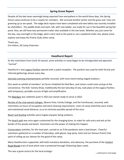#### **Spring Grove Report**

Despite all the bad news seemingly being reported from everywhere in the world these days, the Spring Grove camp continues to be a respite for members. We survived another winter and the grass and trees are greening up as we speak. The lodge deck repairs have been completed and new lattice was recently installed by siteholders. The paddle boats and swim raft, with new ladder, are ready for use in the beautiful spring fed pond. Also, we still have two permanent trailer sites available in the low lands. Whether you just come for the day, stay overnight in the lodge, pitch a tent next to the pond or use a weekend trailer site, please come explore and enjoy the Prairie Clubs other camp.

Thank you, Erin Kiehm, SG Camp Chairman

**Hazelhurst Report**

As the restrictions from Covid-19 waned, some activities in camp began to be reinvigorated and approach "normal".

Hazelhurst's new Legacy Pavilion opened with a joyful reception. The pavilion was used for both formal and informal gatherings almost every day.

Saturday evening entertainments partially resumed, with most events being staged outdoors.

One week an exhibit of members' art forms inhabited the Red Barn, and visitors could come and go at the convenience. The Kids' Variety Show, traditionally the last Saturday of July, took place at the Legacy Pavilion, with temporary, portable sources of light and amplification.

The Red Barn was relatively quiet in 2021 but stands ready to serve in 2022.

Rentals of the club-owned cottages, (Buena Vista, Family Cottage, and the Farmhouse), resumed, with restrictions on hours of occupation and extra cleaning requirements. Users of camp cheerfully wore masks and maintained social distance, so as to minimize possible spread of the virus.

Beach and boating activities were hugely enjoyed, being outdoors.

The beach path was once again customized for the changing dune, to make for safe entry and exit at the border of the woods and beach. Volunteers are the power of making this happen.

Conservation activities, for the most part, carried on as if the pandemic were a bad dream. Cheerful volunteers gathered on a number of Saturdays, with gloves, bug spray, tools and our famous Prairie Club spirit of rolling up our sleeves for the good of the camp.

Many Hazelhursters supported, with both monetary donations, and advocacy, the purchase of the **Harbert** Road Woods tract of land which now is protected through Chikaming Open Lands.

This was a great victory for the local ecology!